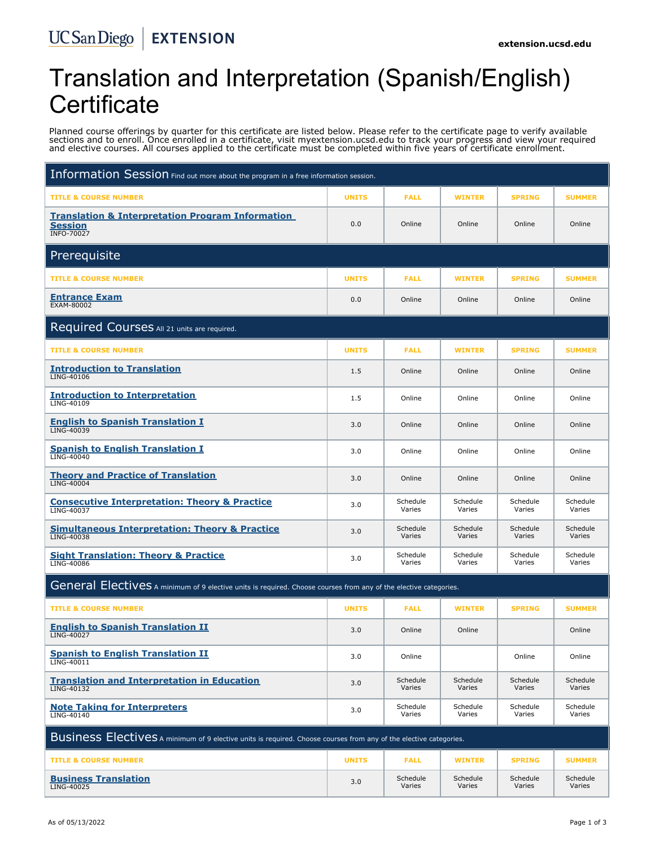# Translation and Interpretation (Spanish/English) **Certificate**

Planned course offerings by quarter for this certificate are listed below. Please refer to the certificate page to verify available sections and to enroll. Once enrolled in a certificate, visit myextension.ucsd.edu to track your progress and view your required and elective courses. All courses applied to the certificate must be completed within five years of certificate enrollment.

| Information Session Find out more about the program in a free information session.                                |              |                    |                    |                    |                    |  |  |  |
|-------------------------------------------------------------------------------------------------------------------|--------------|--------------------|--------------------|--------------------|--------------------|--|--|--|
| <b>TITLE &amp; COURSE NUMBER</b>                                                                                  | <b>UNITS</b> | <b>FALL</b>        | <b>WINTER</b>      | <b>SPRING</b>      | <b>SUMMER</b>      |  |  |  |
| <b>Translation &amp; Interpretation Program Information</b><br><b>Session</b><br><b>INFO-70027</b>                | 0.0          | Online             | Online             | Online             | Online             |  |  |  |
| Prerequisite                                                                                                      |              |                    |                    |                    |                    |  |  |  |
| <b>TITLE &amp; COURSE NUMBER</b>                                                                                  | <b>UNITS</b> | <b>FALL</b>        | <b>WINTER</b>      | <b>SPRING</b>      | <b>SUMMER</b>      |  |  |  |
| <b>Entrance Exam</b><br>EXAM-80002                                                                                | 0.0          | Online             | Online             | Online             | Online             |  |  |  |
| Required Courses All 21 units are required.                                                                       |              |                    |                    |                    |                    |  |  |  |
| <b>TITLE &amp; COURSE NUMBER</b>                                                                                  | <b>UNITS</b> | <b>FALL</b>        | <b>WINTER</b>      | <b>SPRING</b>      | <b>SUMMER</b>      |  |  |  |
| <b>Introduction to Translation</b><br>LING-40106                                                                  | 1.5          | Online             | Online             | Online             | Online             |  |  |  |
| <b>Introduction to Interpretation</b><br>LING-40109                                                               | 1.5          | Online             | Online             | Online             | Online             |  |  |  |
| <b>English to Spanish Translation I</b><br>LING-40039                                                             | 3.0          | Online             | Online             | Online             | Online             |  |  |  |
| <b>Spanish to English Translation I</b><br>LING-40040                                                             | 3.0          | Online             | Online             | Online             | Online             |  |  |  |
| <b>Theory and Practice of Translation</b><br>LING-40004                                                           | 3.0          | Online             | Online             | Online             | Online             |  |  |  |
| <b>Consecutive Interpretation: Theory &amp; Practice</b><br>LING-40037                                            | 3.0          | Schedule<br>Varies | Schedule<br>Varies | Schedule<br>Varies | Schedule<br>Varies |  |  |  |
| <b>Simultaneous Interpretation: Theory &amp; Practice</b><br>LING-40038                                           | 3.0          | Schedule<br>Varies | Schedule<br>Varies | Schedule<br>Varies | Schedule<br>Varies |  |  |  |
| <b>Sight Translation: Theory &amp; Practice</b><br><b>LING-40086</b>                                              | 3.0          | Schedule<br>Varies | Schedule<br>Varies | Schedule<br>Varies | Schedule<br>Varies |  |  |  |
| General Electives A minimum of 9 elective units is required. Choose courses from any of the elective categories.  |              |                    |                    |                    |                    |  |  |  |
| <b>TITLE &amp; COURSE NUMBER</b>                                                                                  | <b>UNITS</b> | <b>FALL</b>        | <b>WINTER</b>      | <b>SPRING</b>      | <b>SUMMER</b>      |  |  |  |
| <b>English to Spanish Translation II</b><br>LING-40027                                                            | 3.0          | Online             | Online             |                    | Online             |  |  |  |
| <b>Spanish to English Translation II</b><br>LING-40011                                                            | 3.0          | Online             |                    | Online             | Online             |  |  |  |
| <b>Translation and Interpretation in Education</b><br>LING-40132                                                  | 3.0          | Schedule<br>Varies | Schedule<br>Varies | Schedule<br>Varies | Schedule<br>Varies |  |  |  |
| <b>Note Taking for Interpreters</b><br>LING-40140                                                                 | 3.0          | Schedule<br>Varies | Schedule<br>Varies | Schedule<br>Varies | Schedule<br>Varies |  |  |  |
| Business Electives A minimum of 9 elective units is required. Choose courses from any of the elective categories. |              |                    |                    |                    |                    |  |  |  |
| <b>TITLE &amp; COURSE NUMBER</b>                                                                                  | <b>UNITS</b> | <b>FALL</b>        | <b>WINTER</b>      | <b>SPRING</b>      | <b>SUMMER</b>      |  |  |  |
| <b>Business Translation</b><br>LING-40025                                                                         | 3.0          | Schedule<br>Varies | Schedule<br>Varies | Schedule<br>Varies | Schedule<br>Varies |  |  |  |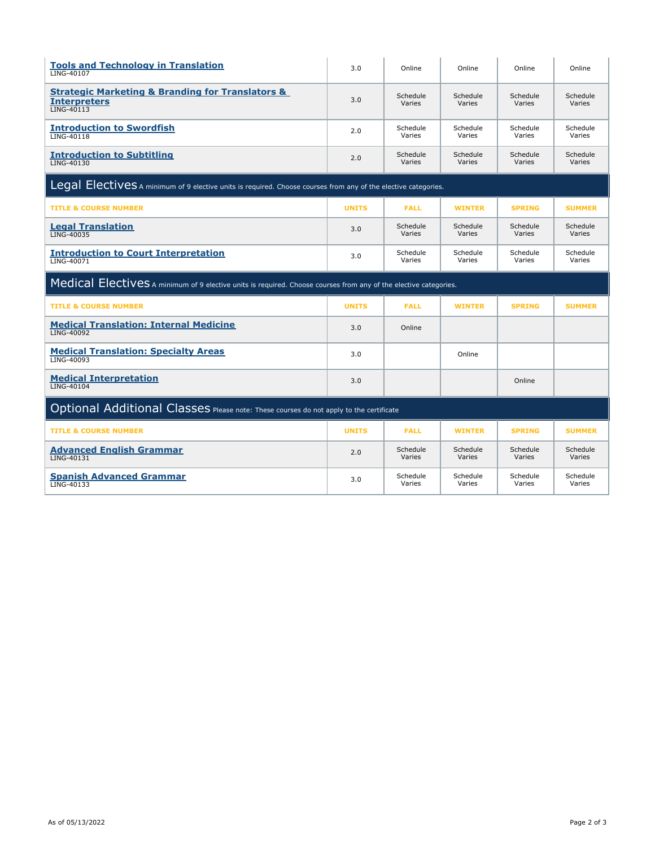| <b>Tools and Technology in Translation</b><br>LING-40107                                                         | 3.0          | Online             | Online             | Online             | Online             |  |  |  |
|------------------------------------------------------------------------------------------------------------------|--------------|--------------------|--------------------|--------------------|--------------------|--|--|--|
| <b>Strategic Marketing &amp; Branding for Translators &amp;</b><br><b>Interpreters</b><br><b>LING-40113</b>      | 3.0          | Schedule<br>Varies | Schedule<br>Varies | Schedule<br>Varies | Schedule<br>Varies |  |  |  |
| <b>Introduction to Swordfish</b><br>LING-40118                                                                   | 2.0          | Schedule<br>Varies | Schedule<br>Varies | Schedule<br>Varies | Schedule<br>Varies |  |  |  |
| <b>Introduction to Subtitling</b><br>LING-40130                                                                  | 2.0          | Schedule<br>Varies | Schedule<br>Varies | Schedule<br>Varies | Schedule<br>Varies |  |  |  |
| Legal Electives A minimum of 9 elective units is required. Choose courses from any of the elective categories.   |              |                    |                    |                    |                    |  |  |  |
| <b>TITLE &amp; COURSE NUMBER</b>                                                                                 | <b>UNITS</b> | <b>FALL</b>        | <b>WINTER</b>      | <b>SPRING</b>      | <b>SUMMER</b>      |  |  |  |
| <b>Legal Translation</b><br>LING-40035                                                                           | 3.0          | Schedule<br>Varies | Schedule<br>Varies | Schedule<br>Varies | Schedule<br>Varies |  |  |  |
| <b>Introduction to Court Interpretation</b><br>LING-40071                                                        | 3.0          | Schedule<br>Varies | Schedule<br>Varies | Schedule<br>Varies | Schedule<br>Varies |  |  |  |
| Medical Electives A minimum of 9 elective units is required. Choose courses from any of the elective categories. |              |                    |                    |                    |                    |  |  |  |
|                                                                                                                  |              |                    |                    |                    |                    |  |  |  |
| <b>TITLE &amp; COURSE NUMBER</b>                                                                                 | <b>UNITS</b> | <b>FALL</b>        | <b>WINTER</b>      | <b>SPRING</b>      | <b>SUMMER</b>      |  |  |  |
| <b>Medical Translation: Internal Medicine</b><br><b>LING-40092</b>                                               | 3.0          | Online             |                    |                    |                    |  |  |  |
| <b>Medical Translation: Specialty Areas</b><br>LING-40093                                                        | 3.0          |                    | Online             |                    |                    |  |  |  |
| <b>Medical Interpretation</b><br>LING-40104                                                                      | 3.0          |                    |                    | Online             |                    |  |  |  |
| Optional Additional Classes Please note: These courses do not apply to the certificate                           |              |                    |                    |                    |                    |  |  |  |
| <b>TITLE &amp; COURSE NUMBER</b>                                                                                 | <b>UNITS</b> | <b>FALL</b>        | <b>WINTER</b>      | <b>SPRING</b>      | <b>SUMMER</b>      |  |  |  |
| <b>Advanced English Grammar</b><br>LING-40131                                                                    | 2.0          | Schedule<br>Varies | Schedule<br>Varies | Schedule<br>Varies | Schedule<br>Varies |  |  |  |